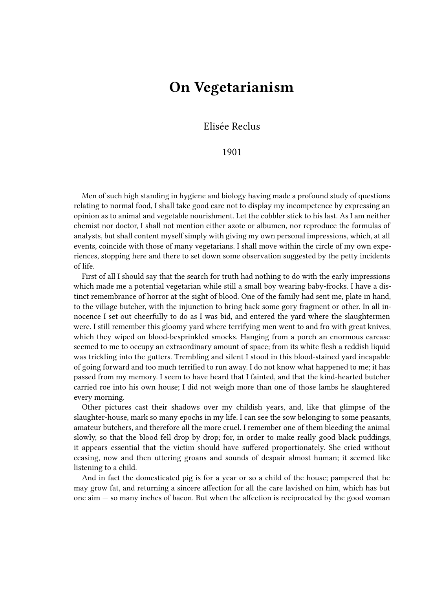## **On Vegetarianism**

## Elisée Reclus

## 1901

Men of such high standing in hygiene and biology having made a profound study of questions relating to normal food, I shall take good care not to display my incompetence by expressing an opinion as to animal and vegetable nourishment. Let the cobbler stick to his last. As I am neither chemist nor doctor, I shall not mention either azote or albumen, nor reproduce the formulas of analysts, but shall content myself simply with giving my own personal impressions, which, at all events, coincide with those of many vegetarians. I shall move within the circle of my own experiences, stopping here and there to set down some observation suggested by the petty incidents of life.

First of all I should say that the search for truth had nothing to do with the early impressions which made me a potential vegetarian while still a small boy wearing baby-frocks. I have a distinct remembrance of horror at the sight of blood. One of the family had sent me, plate in hand, to the village butcher, with the injunction to bring back some gory fragment or other. In all innocence I set out cheerfully to do as I was bid, and entered the yard where the slaughtermen were. I still remember this gloomy yard where terrifying men went to and fro with great knives, which they wiped on blood-besprinkled smocks. Hanging from a porch an enormous carcase seemed to me to occupy an extraordinary amount of space; from its white flesh a reddish liquid was trickling into the gutters. Trembling and silent I stood in this blood-stained yard incapable of going forward and too much terrified to run away. I do not know what happened to me; it has passed from my memory. I seem to have heard that I fainted, and that the kind-hearted butcher carried roe into his own house; I did not weigh more than one of those lambs he slaughtered every morning.

Other pictures cast their shadows over my childish years, and, like that glimpse of the slaughter-house, mark so many epochs in my life. I can see the sow belonging to some peasants, amateur butchers, and therefore all the more cruel. I remember one of them bleeding the animal slowly, so that the blood fell drop by drop; for, in order to make really good black puddings, it appears essential that the victim should have suffered proportionately. She cried without ceasing, now and then uttering groans and sounds of despair almost human; it seemed like listening to a child.

And in fact the domesticated pig is for a year or so a child of the house; pampered that he may grow fat, and returning a sincere affection for all the care lavished on him, which has but one aim — so many inches of bacon. But when the affection is reciprocated by the good woman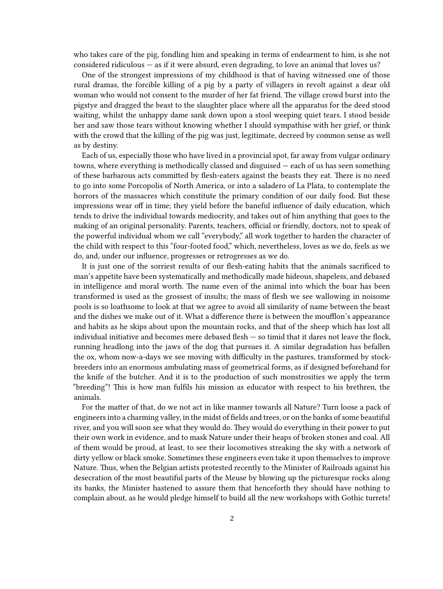who takes care of the pig, fondling him and speaking in terms of endearment to him, is she not considered ridiculous — as if it were absurd, even degrading, to love an animal that loves us?

One of the strongest impressions of my childhood is that of having witnessed one of those rural dramas, the forcible killing of a pig by a party of villagers in revolt against a dear old woman who would not consent to the murder of her fat friend. The village crowd burst into the pigstye and dragged the beast to the slaughter place where all the apparatus for the deed stood waiting, whilst the unhappy dame sank down upon a stool weeping quiet tears. I stood beside her and saw those tears without knowing whether I should sympathise with her grief, or think with the crowd that the killing of the pig was just, legitimate, decreed by common sense as well as by destiny.

Each of us, especially those who have lived in a provincial spot, far away from vulgar ordinary towns, where everything is methodically classed and disguised — each of us has seen something of these barbarous acts committed by flesh-eaters against the beasts they eat. There is no need to go into some Porcopolis of North America, or into a saladero of La Plata, to contemplate the horrors of the massacres which constitute the primary condition of our daily food. But these impressions wear off in time; they yield before the baneful influence of daily education, which tends to drive the individual towards mediocrity, and takes out of him anything that goes to the making of an original personality. Parents, teachers, official or friendly, doctors, not to speak of the powerful individual whom we call "everybody," all work together to harden the character of the child with respect to this "four-footed food," which, nevertheless, loves as we do, feels as we do, and, under our influence, progresses or retrogresses as we do.

It is just one of the sorriest results of our flesh-eating habits that the animals sacrificed to man's appetite have been systematically and methodically made hideous, shapeless, and debased in intelligence and moral worth. The name even of the animal into which the boar has been transformed is used as the grossest of insults; the mass of flesh we see wallowing in noisome pools is so loathsome to look at that we agree to avoid all similarity of name between the beast and the dishes we make out of it. What a difference there is between the moufflon's appearance and habits as he skips about upon the mountain rocks, and that of the sheep which has lost all individual initiative and becomes mere debased flesh — so timid that it dares not leave the flock, running headlong into the jaws of the dog that pursues it. A similar degradation has befallen the ox, whom now-a-days we see moving with difficulty in the pastures, transformed by stockbreeders into an enormous ambulating mass of geometrical forms, as if designed beforehand for the knife of the butcher. And it is to the production of such monstrosities we apply the term "breeding"! This is how man fulfils his mission as educator with respect to his brethren, the animals.

For the matter of that, do we not act in like manner towards all Nature? Turn loose a pack of engineers into a charming valley, in the midst of fields and trees, or on the banks of some beautiful river, and you will soon see what they would do. They would do everything in their power to put their own work in evidence, and to mask Nature under their heaps of broken stones and coal. All of them would be proud, at least, to see their locomotives streaking the sky with a network of dirty yellow or black smoke. Sometimes these engineers even take it upon themselves to improve Nature. Thus, when the Belgian artists protested recently to the Minister of Railroads against his desecration of the most beautiful parts of the Meuse by blowing up the picturesque rocks along its banks, the Minister hastened to assure them that henceforth they should have nothing to complain about, as he would pledge himself to build all the new workshops with Gothic turrets!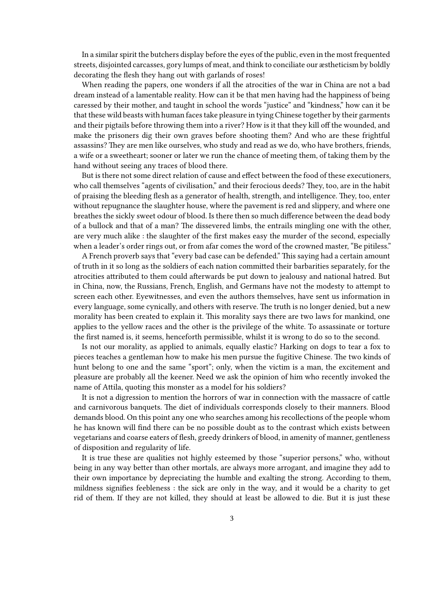In a similar spirit the butchers display before the eyes of the public, even in the most frequented streets, disjointed carcasses, gory lumps of meat, and think to conciliate our æstheticism by boldly decorating the flesh they hang out with garlands of roses!

When reading the papers, one wonders if all the atrocities of the war in China are not a bad dream instead of a lamentable reality. How can it be that men having had the happiness of being caressed by their mother, and taught in school the words "justice" and "kindness," how can it be that these wild beasts with human faces take pleasure in tying Chinese together by their garments and their pigtails before throwing them into a river? How is it that they kill off the wounded, and make the prisoners dig their own graves before shooting them? And who are these frightful assassins? They are men like ourselves, who study and read as we do, who have brothers, friends, a wife or a sweetheart; sooner or later we run the chance of meeting them, of taking them by the hand without seeing any traces of blood there.

But is there not some direct relation of cause and effect between the food of these executioners, who call themselves "agents of civilisation," and their ferocious deeds? They, too, are in the habit of praising the bleeding flesh as a generator of health, strength, and intelligence. They, too, enter without repugnance the slaughter house, where the pavement is red and slippery, and where one breathes the sickly sweet odour of blood. Is there then so much difference between the dead body of a bullock and that of a man? The dissevered limbs, the entrails mingling one with the other, are very much alike : the slaughter of the first makes easy the murder of the second, especially when a leader's order rings out, or from afar comes the word of the crowned master, "Be pitiless."

A French proverb says that "every bad case can be defended." This saying had a certain amount of truth in it so long as the soldiers of each nation committed their barbarities separately, for the atrocities attributed to them could afterwards be put down to jealousy and national hatred. But in China, now, the Russians, French, English, and Germans have not the modesty to attempt to screen each other. Eyewitnesses, and even the authors themselves, have sent us information in every language, some cynically, and others with reserve. The truth is no longer denied, but a new morality has been created to explain it. This morality says there are two laws for mankind, one applies to the yellow races and the other is the privilege of the white. To assassinate or torture the first named is, it seems, henceforth permissible, whilst it is wrong to do so to the second.

Is not our morality, as applied to animals, equally elastic? Harking on dogs to tear a fox to pieces teaches a gentleman how to make his men pursue the fugitive Chinese. The two kinds of hunt belong to one and the same "sport"; only, when the victim is a man, the excitement and pleasure are probably all the keener. Need we ask the opinion of him who recently invoked the name of Attila, quoting this monster as a model for his soldiers?

It is not a digression to mention the horrors of war in connection with the massacre of cattle and carnivorous banquets. The diet of individuals corresponds closely to their manners. Blood demands blood. On this point any one who searches among his recollections of the people whom he has known will find there can be no possible doubt as to the contrast which exists between vegetarians and coarse eaters of flesh, greedy drinkers of blood, in amenity of manner, gentleness of disposition and regularity of life.

It is true these are qualities not highly esteemed by those "superior persons," who, without being in any way better than other mortals, are always more arrogant, and imagine they add to their own importance by depreciating the humble and exalting the strong. According to them, mildness signifies feebleness : the sick are only in the way, and it would be a charity to get rid of them. If they are not killed, they should at least be allowed to die. But it is just these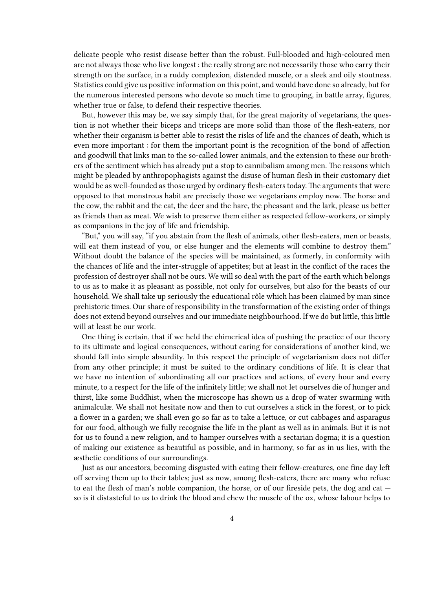delicate people who resist disease better than the robust. Full-blooded and high-coloured men are not always those who live longest : the really strong are not necessarily those who carry their strength on the surface, in a ruddy complexion, distended muscle, or a sleek and oily stoutness. Statistics could give us positive information on this point, and would have done so already, but for the numerous interested persons who devote so much time to grouping, in battle array, figures, whether true or false, to defend their respective theories.

But, however this may be, we say simply that, for the great majority of vegetarians, the question is not whether their biceps and triceps are more solid than those of the flesh-eaters, nor whether their organism is better able to resist the risks of life and the chances of death, which is even more important : for them the important point is the recognition of the bond of affection and goodwill that links man to the so-called lower animals, and the extension to these our brothers of the sentiment which has already put a stop to cannibalism among men. The reasons which might be pleaded by anthropophagists against the disuse of human flesh in their customary diet would be as well-founded as those urged by ordinary flesh-eaters today. The arguments that were opposed to that monstrous habit are precisely those we vegetarians employ now. The horse and the cow, the rabbit and the cat, the deer and the hare, the pheasant and the lark, please us better as friends than as meat. We wish to preserve them either as respected fellow-workers, or simply as companions in the joy of life and friendship.

"But," you will say, "if you abstain from the flesh of animals, other flesh-eaters, men or beasts, will eat them instead of you, or else hunger and the elements will combine to destroy them." Without doubt the balance of the species will be maintained, as formerly, in conformity with the chances of life and the inter-struggle of appetites; but at least in the conflict of the races the profession of destroyer shall not be ours. We will so deal with the part of the earth which belongs to us as to make it as pleasant as possible, not only for ourselves, but also for the beasts of our household. We shall take up seriously the educational rôle which has been claimed by man since prehistoric times. Our share of responsibility in the transformation of the existing order of things does not extend beyond ourselves and our immediate neighbourhood. If we do but little, this little will at least be our work.

One thing is certain, that if we held the chimerical idea of pushing the practice of our theory to its ultimate and logical consequences, without caring for considerations of another kind, we should fall into simple absurdity. In this respect the principle of vegetarianism does not differ from any other principle; it must be suited to the ordinary conditions of life. It is clear that we have no intention of subordinating all our practices and actions, of every hour and every minute, to a respect for the life of the infinitely little; we shall not let ourselves die of hunger and thirst, like some Buddhist, when the microscope has shown us a drop of water swarming with animalculæ. We shall not hesitate now and then to cut ourselves a stick in the forest, or to pick a flower in a garden; we shall even go so far as to take a lettuce, or cut cabbages and asparagus for our food, although we fully recognise the life in the plant as well as in animals. But it is not for us to found a new religion, and to hamper ourselves with a sectarian dogma; it is a question of making our existence as beautiful as possible, and in harmony, so far as in us lies, with the æsthetic conditions of our surroundings.

Just as our ancestors, becoming disgusted with eating their fellow-creatures, one fine day left off serving them up to their tables; just as now, among flesh-eaters, there are many who refuse to eat the flesh of man's noble companion, the horse, or of our fireside pets, the dog and cat so is it distasteful to us to drink the blood and chew the muscle of the ox, whose labour helps to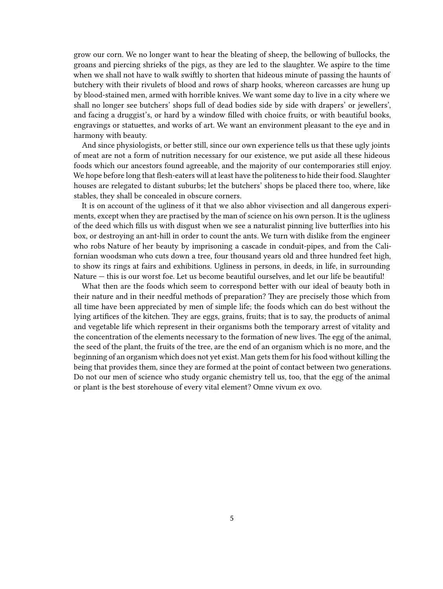grow our corn. We no longer want to hear the bleating of sheep, the bellowing of bullocks, the groans and piercing shrieks of the pigs, as they are led to the slaughter. We aspire to the time when we shall not have to walk swiftly to shorten that hideous minute of passing the haunts of butchery with their rivulets of blood and rows of sharp hooks, whereon carcasses are hung up by blood-stained men, armed with horrible knives. We want some day to live in a city where we shall no longer see butchers' shops full of dead bodies side by side with drapers' or jewellers', and facing a druggist's, or hard by a window filled with choice fruits, or with beautiful books, engravings or statuettes, and works of art. We want an environment pleasant to the eye and in harmony with beauty.

And since physiologists, or better still, since our own experience tells us that these ugly joints of meat are not a form of nutrition necessary for our existence, we put aside all these hideous foods which our ancestors found agreeable, and the majority of our contemporaries still enjoy. We hope before long that flesh-eaters will at least have the politeness to hide their food. Slaughter houses are relegated to distant suburbs; let the butchers' shops be placed there too, where, like stables, they shall be concealed in obscure corners.

It is on account of the ugliness of it that we also abhor vivisection and all dangerous experiments, except when they are practised by the man of science on his own person. It is the ugliness of the deed which fills us with disgust when we see a naturalist pinning live butterflies into his box, or destroying an ant-hill in order to count the ants. We turn with dislike from the engineer who robs Nature of her beauty by imprisoning a cascade in conduit-pipes, and from the Californian woodsman who cuts down a tree, four thousand years old and three hundred feet high, to show its rings at fairs and exhibitions. Ugliness in persons, in deeds, in life, in surrounding Nature — this is our worst foe. Let us become beautiful ourselves, and let our life be beautiful!

What then are the foods which seem to correspond better with our ideal of beauty both in their nature and in their needful methods of preparation? They are precisely those which from all time have been appreciated by men of simple life; the foods which can do best without the lying artifices of the kitchen. They are eggs, grains, fruits; that is to say, the products of animal and vegetable life which represent in their organisms both the temporary arrest of vitality and the concentration of the elements necessary to the formation of new lives. The egg of the animal, the seed of the plant, the fruits of the tree, are the end of an organism which is no more, and the beginning of an organism which does not yet exist. Man gets them for his food without killing the being that provides them, since they are formed at the point of contact between two generations. Do not our men of science who study organic chemistry tell us, too, that the egg of the animal or plant is the best storehouse of every vital element? Omne vivum ex ovo.